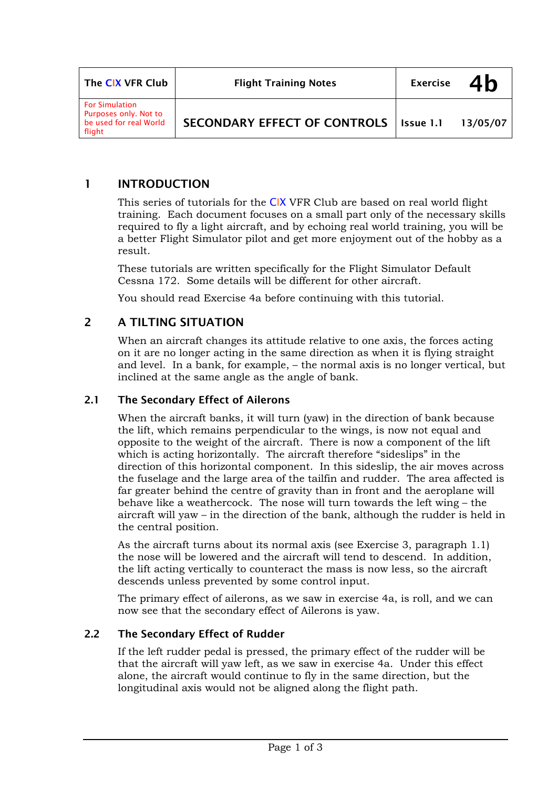| The CIX VFR Club                                                                   | <b>Flight Training Notes</b>             | <b>Exercise</b> | 4h       |
|------------------------------------------------------------------------------------|------------------------------------------|-----------------|----------|
| <b>For Simulation</b><br>Purposes only. Not to<br>be used for real World<br>flight | SECONDARY EFFECT OF CONTROLS   Issue 1.1 |                 | 13/05/07 |

## 1 INTRODUCTION

This series of tutorials for the CIX VFR Club are based on real world flight training. Each document focuses on a small part only of the necessary skills required to fly a light aircraft, and by echoing real world training, you will be a better Flight Simulator pilot and get more enjoyment out of the hobby as a result.

These tutorials are written specifically for the Flight Simulator Default Cessna 172. Some details will be different for other aircraft.

You should read Exercise 4a before continuing with this tutorial.

# 2 A TILTING SITUATION

When an aircraft changes its attitude relative to one axis, the forces acting on it are no longer acting in the same direction as when it is flying straight and level. In a bank, for example, – the normal axis is no longer vertical, but inclined at the same angle as the angle of bank.

#### 2.1 The Secondary Effect of Ailerons

When the aircraft banks, it will turn (yaw) in the direction of bank because the lift, which remains perpendicular to the wings, is now not equal and opposite to the weight of the aircraft. There is now a component of the lift which is acting horizontally. The aircraft therefore "sideslips" in the direction of this horizontal component. In this sideslip, the air moves across the fuselage and the large area of the tailfin and rudder. The area affected is far greater behind the centre of gravity than in front and the aeroplane will behave like a weathercock. The nose will turn towards the left wing – the aircraft will yaw – in the direction of the bank, although the rudder is held in the central position.

As the aircraft turns about its normal axis (see Exercise 3, paragraph 1.1) the nose will be lowered and the aircraft will tend to descend. In addition, the lift acting vertically to counteract the mass is now less, so the aircraft descends unless prevented by some control input.

The primary effect of ailerons, as we saw in exercise 4a, is roll, and we can now see that the secondary effect of Ailerons is yaw.

#### 2.2 The Secondary Effect of Rudder

If the left rudder pedal is pressed, the primary effect of the rudder will be that the aircraft will yaw left, as we saw in exercise 4a. Under this effect alone, the aircraft would continue to fly in the same direction, but the longitudinal axis would not be aligned along the flight path.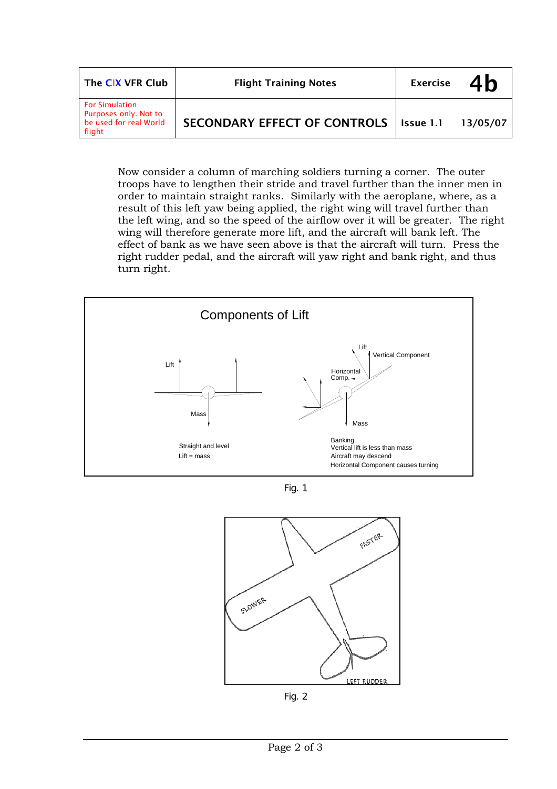| The CIX VFR Club                                                                   | <b>Flight Training Notes</b>             | <b>Exercise</b> | 4b       |
|------------------------------------------------------------------------------------|------------------------------------------|-----------------|----------|
| <b>For Simulation</b><br>Purposes only. Not to<br>be used for real World<br>flight | SECONDARY EFFECT OF CONTROLS   Issue 1.1 |                 | 13/05/07 |

Now consider a column of marching soldiers turning a corner. The outer troops have to lengthen their stride and travel further than the inner men in order to maintain straight ranks. Similarly with the aeroplane, where, as a result of this left yaw being applied, the right wing will travel further than the left wing, and so the speed of the airflow over it will be greater. The right wing will therefore generate more lift, and the aircraft will bank left. The effect of bank as we have seen above is that the aircraft will turn. Press the right rudder pedal, and the aircraft will yaw right and bank right, and thus turn right.



Fig. 1